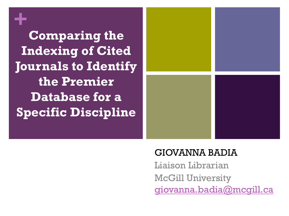# **+**

**Comparing the Indexing of Cited Journals to Identify the Premier Database for a Specific Discipline**



#### GIOVANNA BADIA

Liaison Librarian McGill University [giovanna.badia@mcgill.ca](mailto:giovanna.badia@mcgill.ca)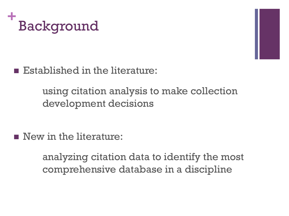



Established in the literature:

using citation analysis to make collection development decisions

New in the literature:

analyzing citation data to identify the most comprehensive database in a discipline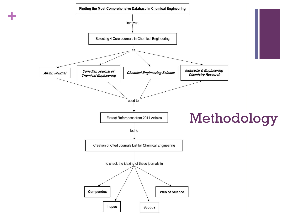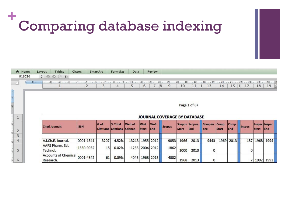### **+** Comparing database indexing

| <del>n</del> Home       |  | Layout         | <b>Tables</b>                | Charts                                                                                                                                                                                                                          | SmartArt | Formulas                                      | <b>Data</b>     |                            | Review            |        |                               |              |                      |                       |              |        |                               |            |
|-------------------------|--|----------------|------------------------------|---------------------------------------------------------------------------------------------------------------------------------------------------------------------------------------------------------------------------------|----------|-----------------------------------------------|-----------------|----------------------------|-------------------|--------|-------------------------------|--------------|----------------------|-----------------------|--------------|--------|-------------------------------|------------|
| R16C20                  |  | $\div$ $\odot$ | $\circ$ ( fx                 |                                                                                                                                                                                                                                 |          |                                               |                 |                            |                   |        |                               |              |                      |                       |              |        |                               |            |
|                         |  |                |                              | ( i d) = 1 ( i d) = 1 ( i d) = 1 ( 2 ( i d) = 1 ( 4) = 1 ( 5) = 1 ( 6) = 1 ( 7) = 1 ( 8) = 1 ( 9) = 1 ( 10) = 1 ( 12) = 1 ( 12) = 1 ( 12) = 12) = 12) = 12] = 129 = 129 = 129 = 129 = 129 = 129 = 129 = 129 = 129 = 129 = 129 = | 3        | 4                                             | 5               | 6                          |                   | 8<br>9 | 10                            | 11<br> 1     | 13                   | 14                    | 15 1         | 17     | 18                            | 19         |
|                         |  |                |                              |                                                                                                                                                                                                                                 |          |                                               |                 |                            |                   |        |                               |              |                      |                       |              |        |                               |            |
| $\overline{\mathbf{r}}$ |  |                |                              |                                                                                                                                                                                                                                 |          |                                               |                 |                            |                   |        |                               |              |                      |                       |              |        |                               |            |
|                         |  |                |                              |                                                                                                                                                                                                                                 |          |                                               |                 |                            |                   |        |                               | Page 1 of 67 |                      |                       |              |        |                               |            |
|                         |  |                | JOURNAL COVERAGE BY DATABASE |                                                                                                                                                                                                                                 |          |                                               |                 |                            |                   |        |                               |              |                      |                       |              |        |                               |            |
| $\overline{2}$          |  |                | <b>Cited Journals</b>        | <b>ISSN</b>                                                                                                                                                                                                                     | # of     | % Total<br><b>Citations Citations Science</b> | Web of          | <b>WoS</b><br><b>Start</b> | <b>WoS</b><br>End | Scopus | Scopus Scopus<br><b>Start</b> | End          | <b>Compen</b><br>dex | Comp.<br><b>Start</b> | Comp.<br>End | Inspec | Inspec Inspec<br><b>Start</b> | <b>End</b> |
| $\sim$<br>3             |  |                |                              |                                                                                                                                                                                                                                 |          |                                               |                 |                            |                   |        |                               |              |                      |                       |              |        |                               |            |
| $\overline{4}$          |  |                | A.I.Ch.E. Journal.           | 0001-1541                                                                                                                                                                                                                       | 3207     | 4.52%                                         | 13213 1955 2012 |                            |                   | 9853   | 1966                          | 2013         | 9443                 | 1969                  | 2013         | 187    |                               | 1968 1994  |
| 5                       |  | Technol.       | AAPS Pharm, Sci.             | 1530-9932                                                                                                                                                                                                                       | 15       | 0.02%                                         | 1233            |                            | 2004 2012         | 1862   | 2000                          | 2013         | 0                    |                       |              | 0      |                               |            |
| 6<br>in.                |  | Research.      | <b>Accounts of Chemicall</b> | 0001-4842                                                                                                                                                                                                                       | 61       | 0.09%                                         | 4043            |                            | 1968 2013         | 4002   | 1968                          | 2013         | 0                    |                       |              |        |                               | 1992 1992  |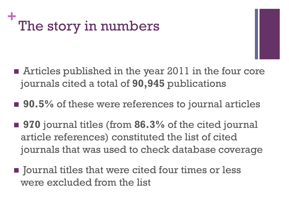### **+** The story in numbers

- Articles published in the year 2011 in the four core journals cited a total of **90,945** publications
- 90.5% of these were references to journal articles
- **970** journal titles (from **86.3%** of the cited journal article references) constituted the list of cited journals that was used to check database coverage
- $\blacksquare$  Journal titles that were cited four times or less were excluded from the list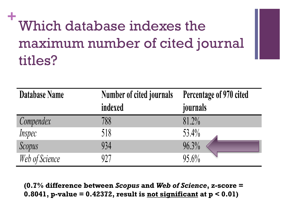## **+** Which database indexes the maximum number of cited journal titles?

| Database Name  | <b>Number of cited journals</b> | Percentage of 970 cited |  |  |  |  |
|----------------|---------------------------------|-------------------------|--|--|--|--|
|                | indexed                         | journals                |  |  |  |  |
| Compendex      | 788                             | 81.2%                   |  |  |  |  |
| Inspec         | 518                             | 53.4%                   |  |  |  |  |
| Scopus         | 934                             | 96.3%                   |  |  |  |  |
| Web of Science | 927                             | $95.6\%$                |  |  |  |  |

**(0.7% difference between** *Scopus* **and** *Web of Science***, z-score = 0.8041, p-value = 0.42372, result is not significant at p < 0.01)**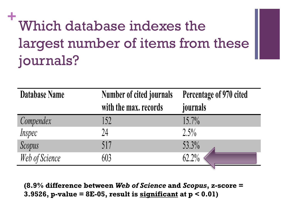## **+** Which database indexes the largest number of items from these journals?

| Database Name  | Number of cited journals<br>with the max. records | Percentage of 970 cited<br>journals |
|----------------|---------------------------------------------------|-------------------------------------|
|                |                                                   |                                     |
| Compendex      | 152                                               | $15.7\%$                            |
| Inspec         | 24                                                | $2.5\%$                             |
| Scopus         | 517                                               | 53.3%                               |
| Web of Science | 603                                               | 62.2%                               |
|                |                                                   |                                     |

**(8.9% difference between** *Web of Science* **and** *Scopus***, z-score = 3.9526, p-value = 8E-05, result is significant at p < 0.01)**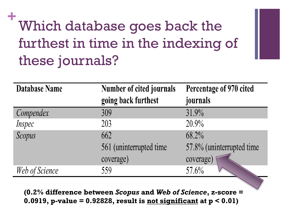## **+** Which database goes back the furthest in time in the indexing of these journals?

| <b>Database Name</b> | <b>Number of cited journals</b> | Percentage of 970 cited    |  |  |  |
|----------------------|---------------------------------|----------------------------|--|--|--|
|                      | going back furthest             | journals                   |  |  |  |
| Compendex            | 309                             | 31.9%                      |  |  |  |
| <i>Inspec</i>        | 203                             | $20.9\%$                   |  |  |  |
| Scopus               | 662                             | 68.2%                      |  |  |  |
|                      | 561 (uninterrupted time)        | 57.8% (uninterrupted time) |  |  |  |
|                      | coverage)                       | coverage)                  |  |  |  |
| Web of Science       | 559                             | 57.6%                      |  |  |  |

**(0.2% difference between** *Scopus* **and** *Web of Science***, z-score = 0.0919, p-value = 0.92828, result is not significant at p < 0.01)**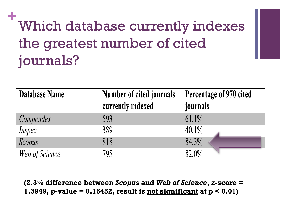## **+** Which database currently indexes the greatest number of cited journals?

| Database Name  | Number of cited journals<br>currently indexed | Percentage of 970 cited<br>journals |
|----------------|-----------------------------------------------|-------------------------------------|
| Compendex      | 593                                           | $61.1\%$                            |
| Inspec         | 389                                           | $40.1\%$                            |
| Scopus         | 818                                           | 84.3%                               |
| Web of Science | 795                                           | 82.0%                               |

**(2.3% difference between** *Scopus* **and** *Web of Science***, z-score = 1.3949, p-value = 0.16452, result is not significant at p < 0.01)**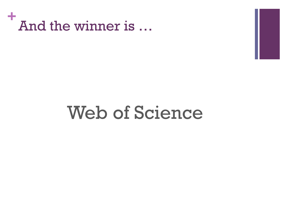

## Web of Science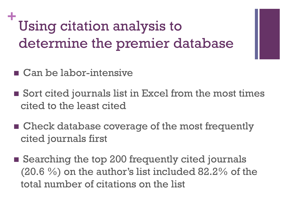## **+** Using citation analysis to determine the premier database

- Can be labor-intensive
- Sort cited journals list in Excel from the most times cited to the least cited
- Check database coverage of the most frequently cited journals first
- Searching the top 200 frequently cited journals (20.6 %) on the author's list included 82.2% of the total number of citations on the list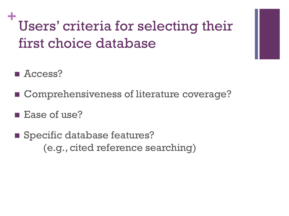## **+** Users' criteria for selecting their first choice database

- Access?
- Comprehensiveness of literature coverage?
- **Ease of use?**
- **Specific database features?** (e.g., cited reference searching)